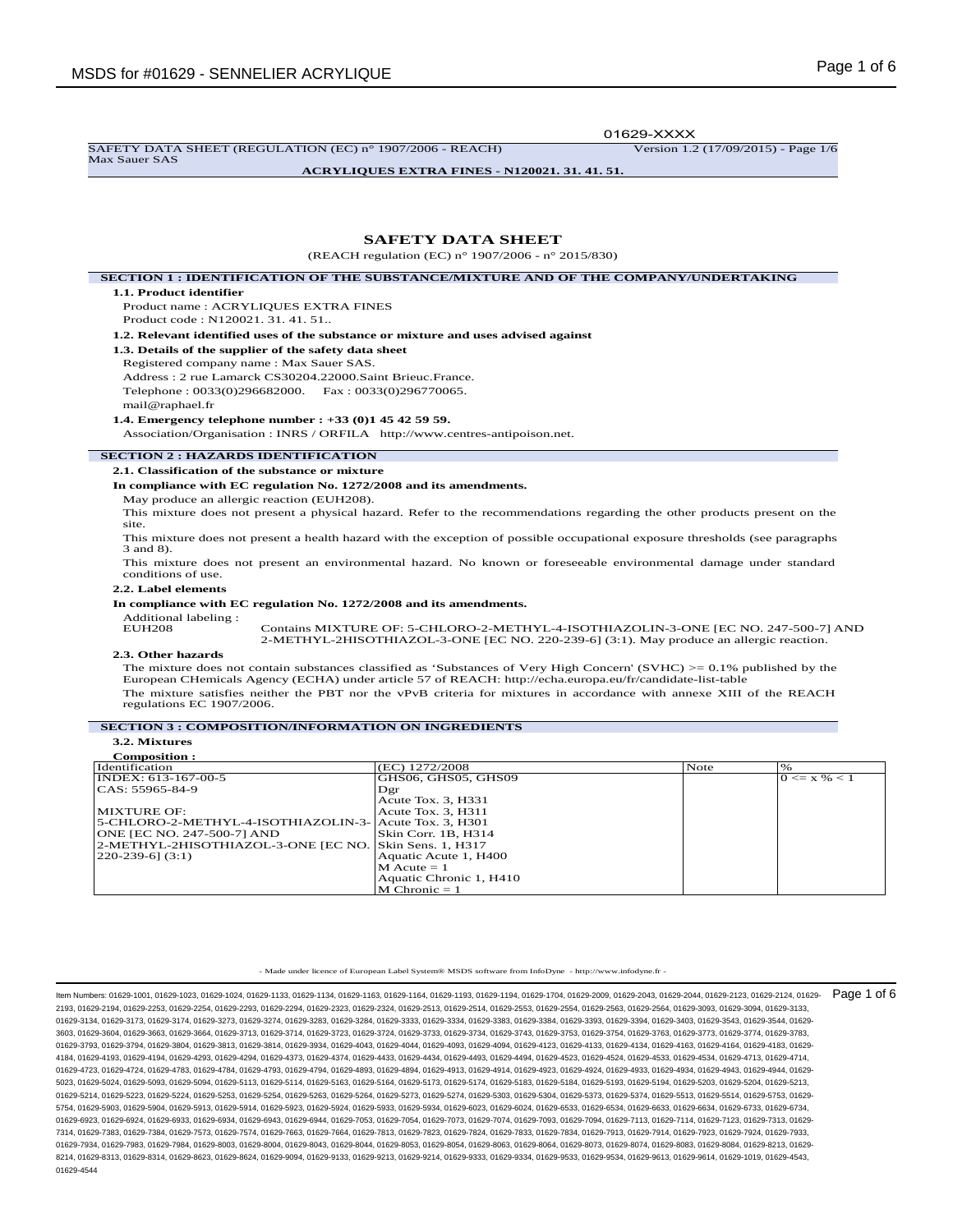SAFETY DATA SHEET (REGULATION (EC) n° 1907/2006 - REACH) Version 1.2 (17/09/2015) - Page 1/6

Max Sauer SAS

01629-XXXX

**ACRYLIQUES EXTRA FINES - N120021. 31. 41. 51.**

# **SAFETY DATA SHEET**

(REACH regulation (EC) n° 1907/2006 - n° 2015/830)

## **SECTION 1 : IDENTIFICATION OF THE SUBSTANCE/MIXTURE AND OF THE COMPANY/UNDERTAKING 1.1. Product identifier** Product name : ACRYLIQUES EXTRA FINES Product code : N120021. 31. 41. 51.. **1.2. Relevant identified uses of the substance or mixture and uses advised against 1.3. Details of the supplier of the safety data sheet** Registered company name : Max Sauer SAS. Address : 2 rue Lamarck CS30204.22000.Saint Brieuc.France. Telephone : 0033(0)296682000. Fax : 0033(0)296770065. mail@raphael.fr **1.4. Emergency telephone number : +33 (0)1 45 42 59 59.** Association/Organisation : INRS / ORFILA http://www.centres-antipoison.net. **SECTION 2 : HAZARDS IDENTIFICATION 2.1. Classification of the substance or mixture In compliance with EC regulation No. 1272/2008 and its amendments.** May produce an allergic reaction (EUH208). This mixture does not present a physical hazard. Refer to the recommendations regarding the other products present on the site. This mixture does not present a health hazard with the exception of possible occupational exposure thresholds (see paragraphs 3 and 8). This mixture does not present an environmental hazard. No known or foreseeable environmental damage under standard conditions of use.

#### **2.2. Label elements**

**In compliance with EC regulation No. 1272/2008 and its amendments.**

Additional labeling :

Contains MIXTURE OF: 5-CHLORO-2-METHYL-4-ISOTHIAZOLIN-3-ONE [EC NO. 247-500-7] AND 2-METHYL-2HISOTHIAZOL-3-ONE [EC NO. 220-239-6] (3:1). May produce an allergic reaction.

### **2.3. Other hazards**

The mixture does not contain substances classified as 'Substances of Very High Concern' (SVHC) >= 0.1% published by the<br>European CHemicals Agency (ECHA) under article 57 of REACH: http://echa.europa.eu/fr/candidate-list-ta The mixture satisfies neither the PBT nor the vPvB criteria for mixtures in accordance with annexe XIII of the REACH regulations EC 1907/2006.

## **SECTION 3 : COMPOSITION/INFORMATION ON INGREDIENTS**

**3.2. Mixtures Composition :**

| Composition.                                           |                         |      |                  |
|--------------------------------------------------------|-------------------------|------|------------------|
| Identification                                         | (EC) 1272/2008          | Note | $\%$             |
| INDEX: 613-167-00-5                                    | GHS06, GHS05, GHS09     |      | $0 \le x \% < 1$ |
| CAS: 55965-84-9                                        | Dgr                     |      |                  |
|                                                        | Acute Tox. 3, H331      |      |                  |
| MIXTURE OF:                                            | Acute Tox. 3, H311      |      |                  |
| 5-CHLORO-2-METHYL-4-ISOTHIAZOLIN-3- Acute Tox. 3, H301 |                         |      |                  |
| ONE JEC NO. 247-500-71 AND                             | Skin Corr. 1B. H314     |      |                  |
| 2-METHYL-2HISOTHIAZOL-3-ONE [EC NO.                    | Skin Sens. 1, H317      |      |                  |
| $220-239-6$ ] $(3:1)$                                  | Aquatic Acute 1, H400   |      |                  |
|                                                        | $M$ Acute = 1           |      |                  |
|                                                        | Aquatic Chronic 1, H410 |      |                  |
|                                                        | $M$ Chronic = 1         |      |                  |

- Made under licence of European Label System® MSDS software from InfoDyne - http://www.infodyne.fr -

Item Numbers: 01629-1001, 01629-1023, 01629-1024, 01629-1133, 01629-1134, 01629-1163, 01629-1164, 01629-1193, 01629-1194, 01629-1704, 01629-2009, 01629-2043, 01629-2044, 01629-2123, 01629-2124, 01629- 2193, 01629-2194, 01629-2253, 01629-2254, 01629-2293, 01629-2294, 01629-2323, 01629-2324, 01629-2513, 01629-2514, 01629-2553, 01629-2554, 01629-2563, 01629-2564, 01629-3093, 01629-3094, 01629-3133, 01629-3134, 01629-3173, 01629-3174, 01629-3273, 01629-3274, 01629-3283, 01629-3284, 01629-3333, 01629-3334, 01629-3383, 01629-3384, 01629-3393, 01629-3394, 01629-3403, 01629-3543, 01629-3544, 01629- 3603, 01629-3604, 01629-3663, 01629-3664, 01629-3713, 01629-3714, 01629-3723, 01629-3724, 01629-3733, 01629-3734, 01629-3743, 01629-3753, 01629-3754, 01629-3763, 01629-3773, 01629-3774, 01629-3783, 01629-3793, 01629-3794, 01629-3804, 01629-3813, 01629-3814, 01629-3934, 01629-4043, 01629-4044, 01629-4093, 01629-4094, 01629-4123, 01629-4133, 01629-4134, 01629-4163, 01629-4164, 01629-4183, 01629- 4184, 01629-4193, 01629-4194, 01629-4293, 01629-4294, 01629-4373, 01629-4374, 01629-4433, 01629-4434, 01629-4493, 01629-4494, 01629-4523, 01629-4524, 01629-4533, 01629-4534, 01629-4713, 01629-4714, 01629-4723, 01629-4724, 01629-4783, 01629-4784, 01629-4793, 01629-4794, 01629-4893, 01629-4894, 01629-4913, 01629-4914, 01629-4923, 01629-4924, 01629-4933, 01629-4934, 01629-4943, 01629-4944, 01629- 5023, 01629-5024, 01629-5093, 01629-5094, 01629-5113, 01629-5114, 01629-5163, 01629-5164, 01629-5173, 01629-5174, 01629-5183, 01629-5184, 01629-5193, 01629-5194, 01629-5203, 01629-5204, 01629-5213, 01629-5214, 01629-5223, 01629-5224, 01629-5253, 01629-5254, 01629-5263, 01629-5264, 01629-5273, 01629-5274, 01629-5303, 01629-5304, 01629-5373, 01629-5374, 01629-5513, 01629-5514, 01629-5753, 01629- 5754, 01629-5903, 01629-5904, 01629-5913, 01629-5914, 01629-5923, 01629-5924, 01629-5933, 01629-5934, 01629-6023, 01629-6024, 01629-6533, 01629-6534, 01629-6633, 01629-6634, 01629-6733, 01629-6734, 01629-6923, 01629-6924, 01629-6933, 01629-6934, 01629-6943, 01629-6944, 01629-7053, 01629-7054, 01629-7073, 01629-7074, 01629-7093, 01629-7094, 01629-7113, 01629-7114, 01629-7123, 01629-7313, 01629- 7314, 01629-7383, 01629-7384, 01629-7573, 01629-7574, 01629-7663, 01629-7664, 01629-7813, 01629-7823, 01629-7824, 01629-7833, 01629-7834, 01629-7913, 01629-7914, 01629-7923, 01629-7924, 01629-7933, 01629-7934, 01629-7983, 01629-7984, 01629-8003, 01629-8004, 01629-8043, 01629-8044, 01629-8053, 01629-8054, 01629-8063, 01629-8064, 01629-8073, 01629-8074, 01629-8083, 01629-8084, 01629-8213, 01629- 8214, 01629-8313, 01629-8314, 01629-8623, 01629-8624, 01629-9094, 01629-9133, 01629-9213, 01629-9214, 01629-9333, 01629-9334, 01629-9533, 01629-9534, 01629-9613, 01629-9614, 01629-1019, 01629-4543, 01629-4544 Page 1 of 6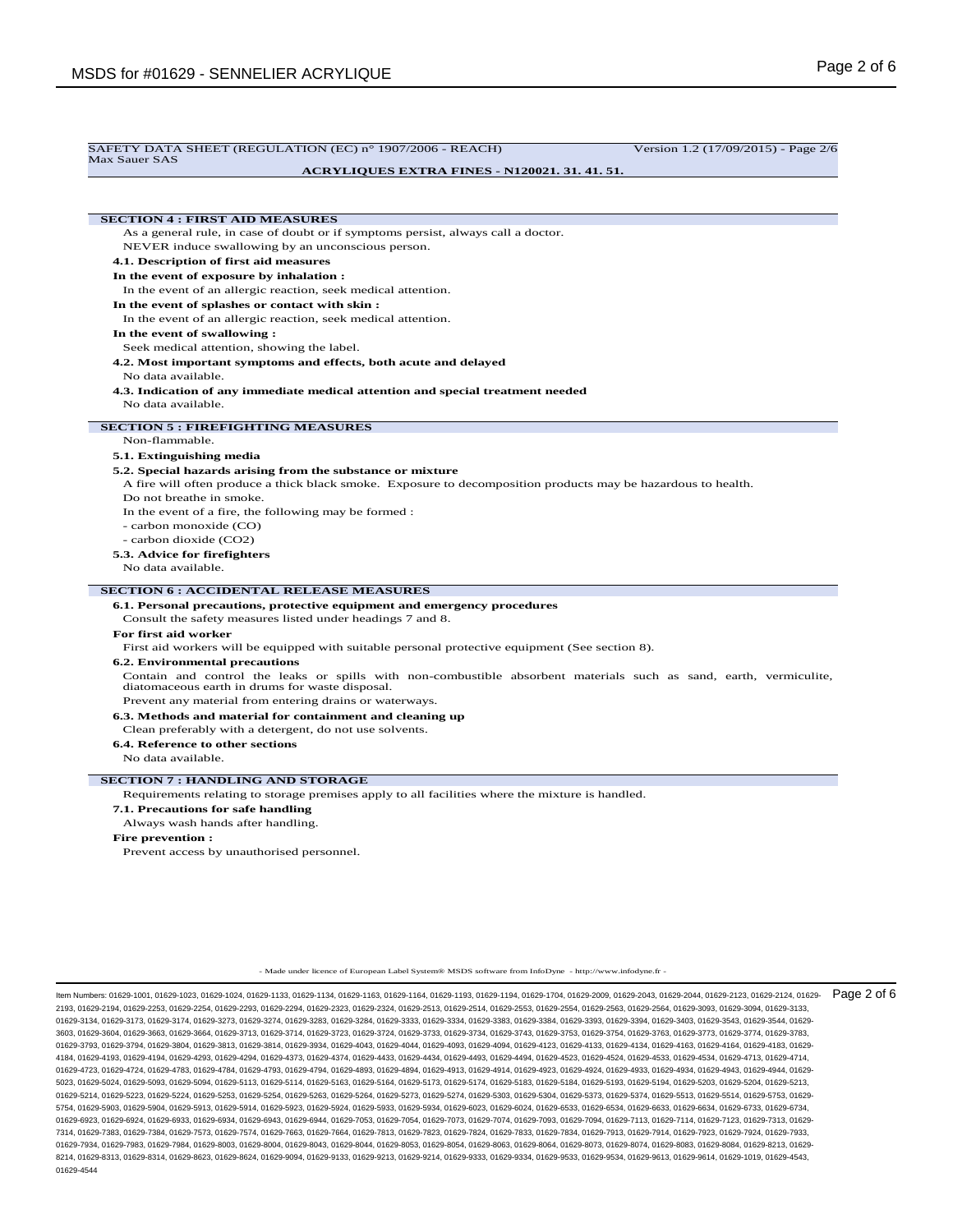| SAFETY DATA SHEET (REGULATION (EC) n° 1907/2006 - REACH)<br>Max Sauer SAS                                          | Version 1.2 (17/09/2015) - Page 2/6 |
|--------------------------------------------------------------------------------------------------------------------|-------------------------------------|
| <b>ACRYLIQUES EXTRA FINES - N120021. 31. 41. 51.</b>                                                               |                                     |
|                                                                                                                    |                                     |
|                                                                                                                    |                                     |
| <b>SECTION 4 : FIRST AID MEASURES</b>                                                                              |                                     |
| As a general rule, in case of doubt or if symptoms persist, always call a doctor.                                  |                                     |
| NEVER induce swallowing by an unconscious person.                                                                  |                                     |
| 4.1. Description of first aid measures                                                                             |                                     |
| In the event of exposure by inhalation :                                                                           |                                     |
| In the event of an allergic reaction, seek medical attention.                                                      |                                     |
| In the event of splashes or contact with skin:                                                                     |                                     |
| In the event of an allergic reaction, seek medical attention.                                                      |                                     |
| In the event of swallowing:                                                                                        |                                     |
| Seek medical attention, showing the label.                                                                         |                                     |
| 4.2. Most important symptoms and effects, both acute and delayed                                                   |                                     |
| No data available.                                                                                                 |                                     |
| 4.3. Indication of any immediate medical attention and special treatment needed                                    |                                     |
| No data available.                                                                                                 |                                     |
| <b>SECTION 5: FIREFIGHTING MEASURES</b>                                                                            |                                     |
| Non-flammable.                                                                                                     |                                     |
| 5.1. Extinguishing media                                                                                           |                                     |
| 5.2. Special hazards arising from the substance or mixture                                                         |                                     |
| A fire will often produce a thick black smoke. Exposure to decomposition products may be hazardous to health.      |                                     |
| Do not breathe in smoke.                                                                                           |                                     |
| In the event of a fire, the following may be formed :                                                              |                                     |
| - carbon monoxide (CO)                                                                                             |                                     |
| - carbon dioxide (CO2)                                                                                             |                                     |
| 5.3. Advice for firefighters                                                                                       |                                     |
| No data available.                                                                                                 |                                     |
| <b>SECTION 6 : ACCIDENTAL RELEASE MEASURES</b>                                                                     |                                     |
| 6.1. Personal precautions, protective equipment and emergency procedures                                           |                                     |
| Consult the safety measures listed under headings 7 and 8.                                                         |                                     |
| For first aid worker                                                                                               |                                     |
| First aid workers will be equipped with suitable personal protective equipment (See section 8).                    |                                     |
| <b>6.2. Environmental precautions</b>                                                                              |                                     |
| Contain and control the leaks or spills with non-combustible absorbent materials such as sand, earth, vermiculite, |                                     |
| diatomaceous earth in drums for waste disposal.                                                                    |                                     |
| Prevent any material from entering drains or waterways.                                                            |                                     |
| 6.3. Methods and material for containment and cleaning up                                                          |                                     |
| Clean preferably with a detergent, do not use solvents.                                                            |                                     |
| 6.4. Reference to other sections<br>No data available.                                                             |                                     |
| <b>SECTION 7: HANDLING AND STORAGE</b>                                                                             |                                     |
| Requirements relating to storage premises apply to all facilities where the mixture is handled.                    |                                     |
| 7.1. Precautions for safe handling                                                                                 |                                     |
| Always wash hands after handling.                                                                                  |                                     |
| <b>Fire prevention:</b>                                                                                            |                                     |

Prevent access by unauthorised personnel.

- Made under licence of European Label System® MSDS software from InfoDyne - http://www.infodyne.fr -

ltem Numbers: 01629-1001, 01629-1023, 01629-1024, 01629-1133, 01629-1134, 01629-1163, 01629-1163, 01629-1193, 01629-1194, 01629-2040, 01629-2009, 01629-2043, 01629-2044, 01629-2123, 01629-2124, 01629-2124, 01629-2124, 0162 2193, 01629-2194, 01629-2253, 01629-2254, 01629-2293, 01629-2294, 01629-2323, 01629-2324, 01629-2513, 01629-2514, 01629-2553, 01629-2554, 01629-2563, 01629-2564, 01629-3093, 01629-3094, 01629-3133, 01629-3134, 01629-3173, 01629-3174, 01629-3273, 01629-3274, 01629-3283, 01629-3284, 01629-3333, 01629-3334, 01629-3383, 01629-3384, 01629-3393, 01629-3394, 01629-3403, 01629-3543, 01629-3544, 01629- 3603, 01629-3604, 01629-3663, 01629-3664, 01629-3713, 01629-3714, 01629-3723, 01629-3724, 01629-3733, 01629-3734, 01629-3743, 01629-3753, 01629-3754, 01629-3763, 01629-3773, 01629-3774, 01629-3783, 01629-3793, 01629-3794, 01629-3804, 01629-3813, 01629-3814, 01629-3934, 01629-4043, 01629-4044, 01629-4093, 01629-4094, 01629-4123, 01629-4133, 01629-4134, 01629-4163, 01629-4164, 01629-4183, 01629- 4184, 01629-4193, 01629-4194, 01629-4293, 01629-4294, 01629-4373, 01629-4374, 01629-4433, 01629-4434, 01629-4493, 01629-4494, 01629-4523, 01629-4524, 01629-4533, 01629-4534, 01629-4713, 01629-4714, 01629-4723, 01629-4724, 01629-4783, 01629-4784, 01629-4793, 01629-4794, 01629-4893, 01629-4894, 01629-4913, 01629-4914, 01629-4923, 01629-4924, 01629-4933, 01629-4934, 01629-4943, 01629-4944, 01629- 5023, 01629-5024, 01629-5093, 01629-5094, 01629-5113, 01629-5114, 01629-5163, 01629-5164, 01629-5173, 01629-5174, 01629-5183, 01629-5184, 01629-5193, 01629-5194, 01629-5203, 01629-5204, 01629-5213, 01629-5214, 01629-5223, 01629-5224, 01629-5253, 01629-5254, 01629-5263, 01629-5264, 01629-5273, 01629-5274, 01629-5303, 01629-5304, 01629-5373, 01629-5374, 01629-5513, 01629-5514, 01629-5753, 01629- 5754, 01629-5903, 01629-5904, 01629-5913, 01629-5914, 01629-5923, 01629-5924, 01629-5933, 01629-5934, 01629-6023, 01629-6024, 01629-6533, 01629-6534, 01629-6633, 01629-6634, 01629-6733, 01629-6734, 01629-6923, 01629-6924, 01629-6933, 01629-6934, 01629-6943, 01629-6944, 01629-7053, 01629-7054, 01629-7073, 01629-7074, 01629-7093, 01629-7094, 01629-7113, 01629-7114, 01629-7123, 01629-7313, 01629- 7314, 01629-7383, 01629-7384, 01629-7573, 01629-7574, 01629-7663, 01629-7664, 01629-7813, 01629-7823, 01629-7824, 01629-7833, 01629-7834, 01629-7913, 01629-7914, 01629-7923, 01629-7924, 01629-7933, 01629-7934, 01629-7983, 01629-7984, 01629-8003, 01629-8004, 01629-8044, 01629-8053, 01629-8064, 01629-8063, 01629-8063, 01629-8063, 01629-8074, 01629-8074, 01629-8083, 01629-8084, 01629-8074, 01629-8074, 01629-8083, 01629-8 8214, 01629-8313, 01629-8314, 01629-8623, 01629-8624, 01629-9094, 01629-9133, 01629-9213, 01629-9214, 01629-9333, 01629-9334, 01629-9533, 01629-9534, 01629-9613, 01629-9614, 01629-1019, 01629-4543, 01629-4544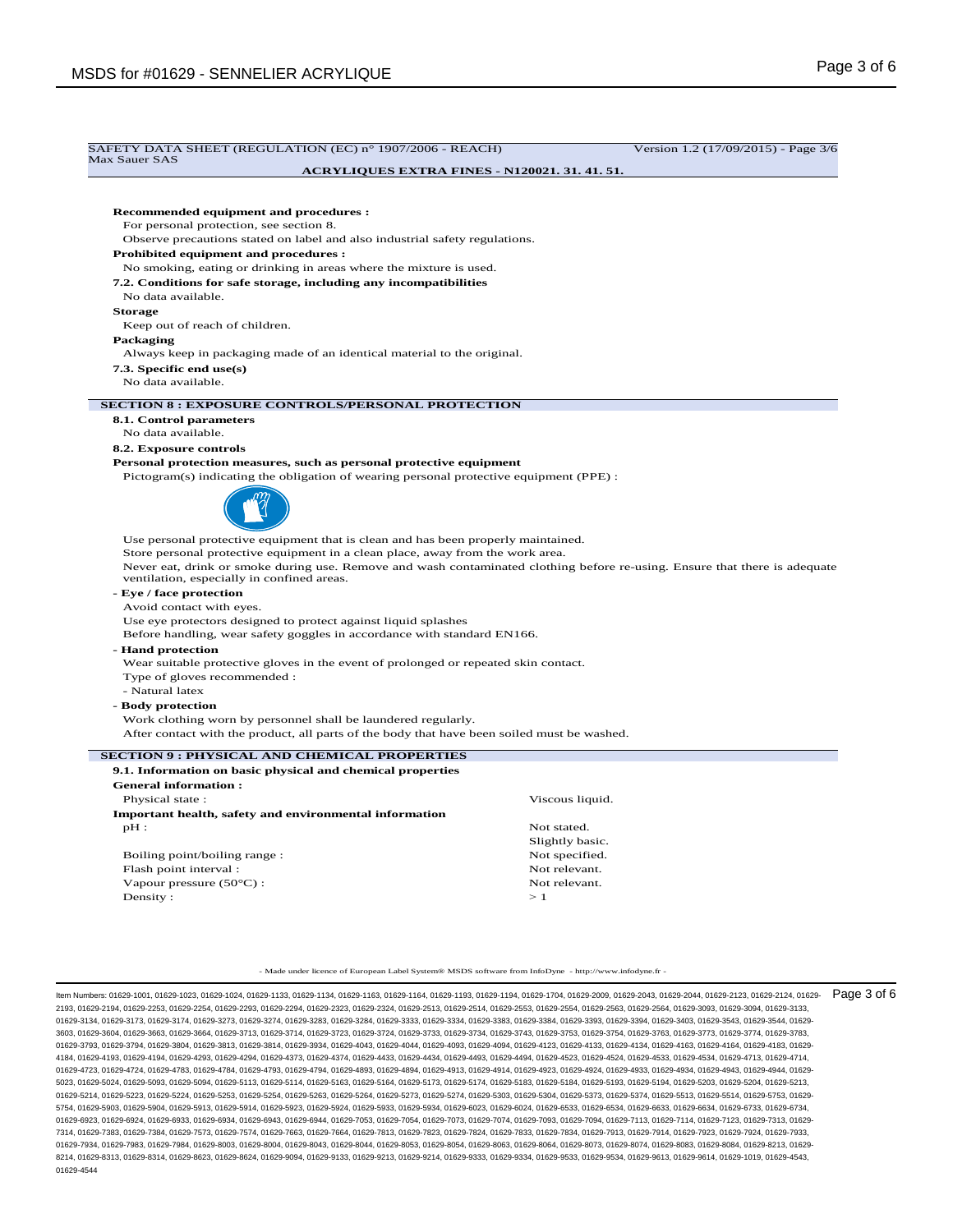| Max Sauer SAS                                                                                                                             | <b>ACRYLIQUES EXTRA FINES - N120021. 31. 41. 51.</b> |                 |
|-------------------------------------------------------------------------------------------------------------------------------------------|------------------------------------------------------|-----------------|
|                                                                                                                                           |                                                      |                 |
| Recommended equipment and procedures :                                                                                                    |                                                      |                 |
| For personal protection, see section 8.                                                                                                   |                                                      |                 |
| Observe precautions stated on label and also industrial safety regulations.                                                               |                                                      |                 |
| <b>Prohibited equipment and procedures :</b>                                                                                              |                                                      |                 |
| No smoking, eating or drinking in areas where the mixture is used.                                                                        |                                                      |                 |
| 7.2. Conditions for safe storage, including any incompatibilities                                                                         |                                                      |                 |
| No data available.                                                                                                                        |                                                      |                 |
| <b>Storage</b>                                                                                                                            |                                                      |                 |
| Keep out of reach of children.                                                                                                            |                                                      |                 |
| Packaging                                                                                                                                 |                                                      |                 |
| Always keep in packaging made of an identical material to the original.                                                                   |                                                      |                 |
| 7.3. Specific end use(s)                                                                                                                  |                                                      |                 |
| No data available.                                                                                                                        |                                                      |                 |
| <b>SECTION 8 : EXPOSURE CONTROLS/PERSONAL PROTECTION</b>                                                                                  |                                                      |                 |
| 8.1. Control parameters                                                                                                                   |                                                      |                 |
| No data available.                                                                                                                        |                                                      |                 |
| 8.2. Exposure controls                                                                                                                    |                                                      |                 |
| Personal protection measures, such as personal protective equipment                                                                       |                                                      |                 |
| Pictogram(s) indicating the obligation of wearing personal protective equipment (PPE) :                                                   |                                                      |                 |
|                                                                                                                                           |                                                      |                 |
|                                                                                                                                           |                                                      |                 |
| Use personal protective equipment that is clean and has been properly maintained.                                                         |                                                      |                 |
| Store personal protective equipment in a clean place, away from the work area.                                                            |                                                      |                 |
| Never eat, drink or smoke during use. Remove and wash contaminated clothing before re-using. Ensure that there is adequate                |                                                      |                 |
| ventilation, especially in confined areas.                                                                                                |                                                      |                 |
| - Eye / face protection                                                                                                                   |                                                      |                 |
| Avoid contact with eyes.                                                                                                                  |                                                      |                 |
| Use eye protectors designed to protect against liquid splashes<br>Before handling, wear safety goggles in accordance with standard EN166. |                                                      |                 |
| - Hand protection                                                                                                                         |                                                      |                 |
| Wear suitable protective gloves in the event of prolonged or repeated skin contact.                                                       |                                                      |                 |
| Type of gloves recommended :                                                                                                              |                                                      |                 |
| - Natural latex                                                                                                                           |                                                      |                 |
| - Body protection                                                                                                                         |                                                      |                 |
| Work clothing worn by personnel shall be laundered regularly.                                                                             |                                                      |                 |
| After contact with the product, all parts of the body that have been soiled must be washed.                                               |                                                      |                 |
| <b>SECTION 9: PHYSICAL AND CHEMICAL PROPERTIES</b>                                                                                        |                                                      |                 |
| 9.1. Information on basic physical and chemical properties                                                                                |                                                      |                 |
| <b>General information:</b>                                                                                                               |                                                      |                 |
| Physical state:                                                                                                                           |                                                      | Viscous liquid. |
| <b>Important health, safety and environmental information</b>                                                                             |                                                      |                 |
| pH:                                                                                                                                       | Not stated.                                          |                 |
|                                                                                                                                           |                                                      | Slightly basic. |
| Boiling point/boiling range:                                                                                                              |                                                      | Not specified.  |
| Flash point interval:                                                                                                                     |                                                      | Not relevant.   |
| Vapour pressure $(50^{\circ}C)$ :                                                                                                         |                                                      | Not relevant.   |
| Density:                                                                                                                                  | >1                                                   |                 |
|                                                                                                                                           |                                                      |                 |
|                                                                                                                                           |                                                      |                 |

2193, 01629-2194, 01629-2253, 01629-2254, 01629-2293, 01629-2294, 01629-2323, 01629-2324, 01629-2513, 01629-2514, 01629-2553, 01629-2554, 01629-2563, 01629-2564, 01629-3093, 01629-3094, 01629-3133, 01629-3134, 01629-3173, 01629-3174, 01629-3273, 01629-3274, 01629-3283, 01629-3284, 01629-3333, 01629-3334, 01629-3383, 01629-3384, 01629-3393, 01629-3394, 01629-3403, 01629-3543, 01629-3544, 01629- 3603, 01629-3604, 01629-3663, 01629-3664, 01629-3713, 01629-3714, 01629-3723, 01629-3724, 01629-3733, 01629-3734, 01629-3743, 01629-3753, 01629-3754, 01629-3763, 01629-3773, 01629-3774, 01629-3783, 01629-3793, 01629-3794, 01629-3804, 01629-3813, 01629-3814, 01629-3934, 01629-4043, 01629-4044, 01629-4093, 01629-4094, 01629-4123, 01629-4133, 01629-4134, 01629-4163, 01629-4164, 01629-4183, 01629- 4184, 01629-4193, 01629-4194, 01629-4293, 01629-4294, 01629-4373, 01629-4374, 01629-4433, 01629-4434, 01629-4493, 01629-4494, 01629-4523, 01629-4524, 01629-4533, 01629-4534, 01629-4713, 01629-4714, 01629-4723, 01629-4724, 01629-4783, 01629-4784, 01629-4793, 01629-4794, 01629-4893, 01629-4894, 01629-4913, 01629-4914, 01629-4923, 01629-4924, 01629-4933, 01629-4934, 01629-4943, 01629-4944, 01629- 5023, 01629-5024, 01629-5093, 01629-5094, 01629-5113, 01629-5114, 01629-5163, 01629-5164, 01629-5173, 01629-5174, 01629-5183, 01629-5184, 01629-5193, 01629-5194, 01629-5203, 01629-5204, 01629-5213, 01629-5214, 01629-5223, 01629-5224, 01629-5253, 01629-5254, 01629-5263, 01629-5264, 01629-5273, 01629-5274, 01629-5303, 01629-5304, 01629-5373, 01629-5374, 01629-5513, 01629-5514, 01629-5753, 01629- 5754, 01629-5903, 01629-5904, 01629-5913, 01629-5914, 01629-5923, 01629-5924, 01629-5933, 01629-5934, 01629-6023, 01629-6024, 01629-6533, 01629-6534, 01629-6633, 01629-6634, 01629-6733, 01629-6734, 01629-6923, 01629-6924, 01629-6933, 01629-6934, 01629-6943, 01629-6944, 01629-7053, 01629-7054, 01629-7073, 01629-7074, 01629-7093, 01629-7094, 01629-7113, 01629-7114, 01629-7123, 01629-7313, 01629- 7314, 01629-7383, 01629-7384, 01629-7573, 01629-7574, 01629-7663, 01629-7664, 01629-7813, 01629-7823, 01629-7824, 01629-7833, 01629-7834, 01629-7913, 01629-7914, 01629-7923, 01629-7924, 01629-7933, 01629-7934, 01629-7983, 01629-7984, 01629-8003, 01629-8004, 01629-8043, 01629-8044, 01629-8053, 01629-8054, 01629-8063, 01629-8064, 01629-8073, 01629-8074, 01629-8083, 01629-8084, 01629-8213, 01629- 8214, 01629-8313, 01629-8314, 01629-8623, 01629-8624, 01629-9094, 01629-9133, 01629-9213, 01629-9214, 01629-9333, 01629-9334, 01629-9533, 01629-9534, 01629-9613, 01629-9614, 01629-1019, 01629-4543, 01629-4544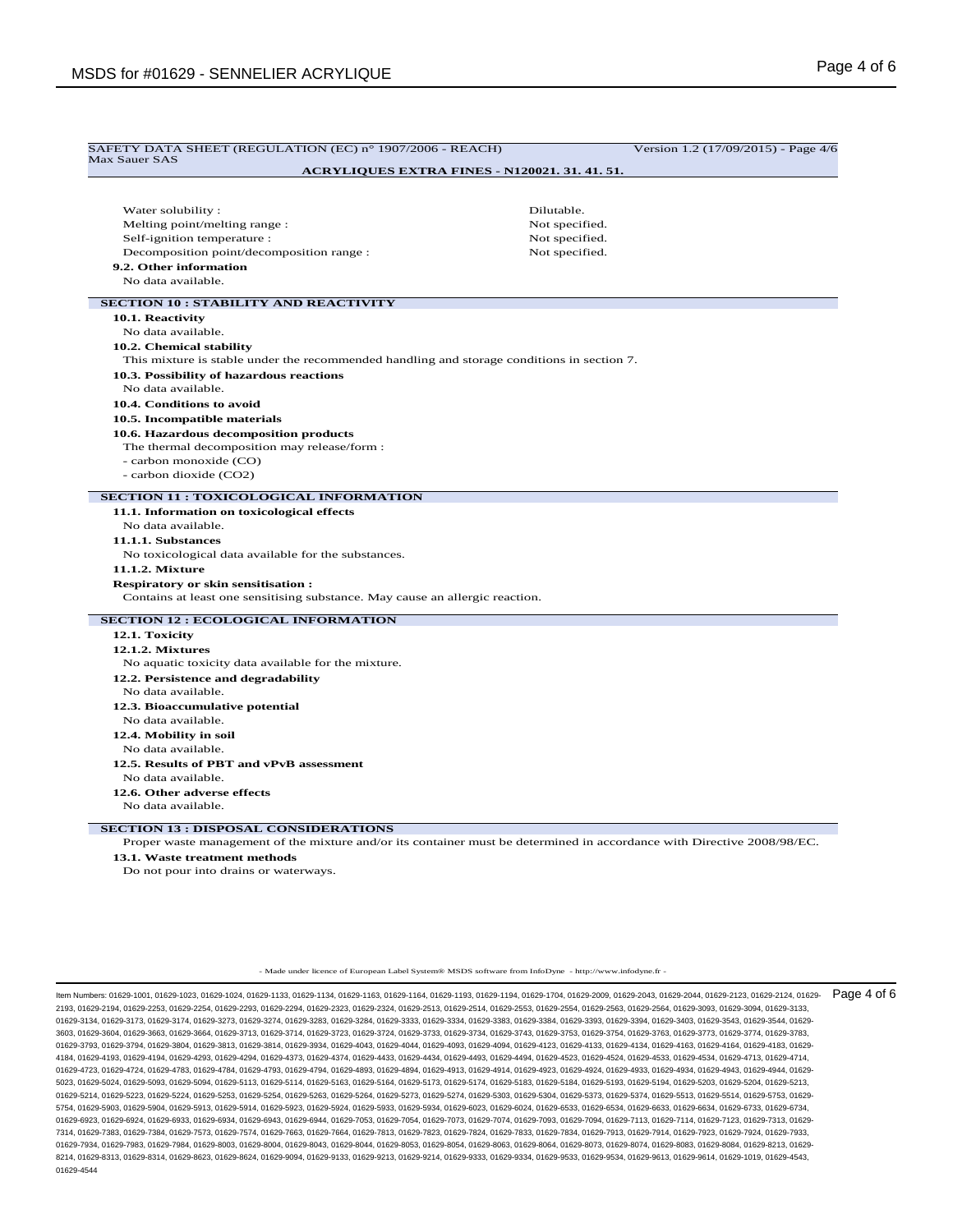| ACRYLIQUES EXTRA FINES - N120021. 31. 41. 51.<br>Water solubility:<br>Melting point/melting range:<br>Self-ignition temperature :<br>Decomposition point/decomposition range :<br>9.2. Other information | Dilutable.<br>Not specified. |
|----------------------------------------------------------------------------------------------------------------------------------------------------------------------------------------------------------|------------------------------|
|                                                                                                                                                                                                          |                              |
|                                                                                                                                                                                                          |                              |
|                                                                                                                                                                                                          |                              |
|                                                                                                                                                                                                          |                              |
|                                                                                                                                                                                                          | Not specified.               |
|                                                                                                                                                                                                          | Not specified.               |
| No data available.                                                                                                                                                                                       |                              |
|                                                                                                                                                                                                          |                              |
| <b>SECTION 10 : STABILITY AND REACTIVITY</b><br>10.1. Reactivity                                                                                                                                         |                              |
| No data available.                                                                                                                                                                                       |                              |
|                                                                                                                                                                                                          |                              |
| 10.2. Chemical stability<br>This mixture is stable under the recommended handling and storage conditions in section 7.                                                                                   |                              |
| 10.3. Possibility of hazardous reactions                                                                                                                                                                 |                              |
| No data available.                                                                                                                                                                                       |                              |
| 10.4. Conditions to avoid                                                                                                                                                                                |                              |
| 10.5. Incompatible materials                                                                                                                                                                             |                              |
| 10.6. Hazardous decomposition products                                                                                                                                                                   |                              |
| The thermal decomposition may release/form :                                                                                                                                                             |                              |
| - carbon monoxide (CO)                                                                                                                                                                                   |                              |
| - carbon dioxide (CO2)                                                                                                                                                                                   |                              |
| <b>SECTION 11 : TOXICOLOGICAL INFORMATION</b>                                                                                                                                                            |                              |
| 11.1. Information on toxicological effects                                                                                                                                                               |                              |
| No data available.                                                                                                                                                                                       |                              |
| 11.1.1. Substances                                                                                                                                                                                       |                              |
| No toxicological data available for the substances.                                                                                                                                                      |                              |
| 11.1.2. Mixture                                                                                                                                                                                          |                              |
| <b>Respiratory or skin sensitisation:</b>                                                                                                                                                                |                              |
| Contains at least one sensitising substance. May cause an allergic reaction.                                                                                                                             |                              |
| <b>SECTION 12 : ECOLOGICAL INFORMATION</b>                                                                                                                                                               |                              |
| 12.1. Toxicity                                                                                                                                                                                           |                              |
| 12.1.2. Mixtures                                                                                                                                                                                         |                              |
| No aquatic toxicity data available for the mixture.                                                                                                                                                      |                              |
| 12.2. Persistence and degradability                                                                                                                                                                      |                              |
| No data available.                                                                                                                                                                                       |                              |
| 12.3. Bioaccumulative potential                                                                                                                                                                          |                              |
| No data available.                                                                                                                                                                                       |                              |
| 12.4. Mobility in soil                                                                                                                                                                                   |                              |
| No data available.                                                                                                                                                                                       |                              |
| 12.5. Results of PBT and vPvB assessment                                                                                                                                                                 |                              |
| No data available.                                                                                                                                                                                       |                              |
| 12.6. Other adverse effects                                                                                                                                                                              |                              |
| No data available.                                                                                                                                                                                       |                              |
| <b>SECTION 13 : DISPOSAL CONSIDERATIONS</b>                                                                                                                                                              |                              |
| Proper waste management of the mixture and/or its container must be determined in accordance with Directive 2008/98/EC.                                                                                  |                              |
| 13.1. Waste treatment methods                                                                                                                                                                            |                              |
| Do not pour into drains or waterways.                                                                                                                                                                    |                              |

- Made under licence of European Label System® MSDS software from InfoDyne - http://www.infodyne.fr -

ltem Numbers: 01629-1001, 01629-1023, 01629-1024, 01629-1133, 01629-1134, 01629-1163, 01629-1163, 01629-1193, 01629-1194, 01629-2040, 01629-2009, 01629-2043, 01629-2044, 01629-2123, 01629-2124, 01629-2124, 01629-2124, 0162 2193, 01629-2194, 01629-2253, 01629-2254, 01629-2293, 01629-2294, 01629-2323, 01629-2324, 01629-2513, 01629-2514, 01629-2553, 01629-2554, 01629-2563, 01629-2564, 01629-3093, 01629-3094, 01629-3133, 01629-3134, 01629-3173, 01629-3174, 01629-3273, 01629-3274, 01629-3283, 01629-3284, 01629-3333, 01629-3334, 01629-3383, 01629-3384, 01629-3393, 01629-3394, 01629-3403, 01629-3543, 01629-3544, 01629- 3603, 01629-3604, 01629-3663, 01629-3664, 01629-3713, 01629-3714, 01629-3723, 01629-3724, 01629-3733, 01629-3734, 01629-3743, 01629-3753, 01629-3754, 01629-3763, 01629-3773, 01629-3774, 01629-3783, 01629-3793, 01629-3794, 01629-3804, 01629-3813, 01629-3814, 01629-3934, 01629-4043, 01629-4044, 01629-4093, 01629-4094, 01629-4123, 01629-4133, 01629-4134, 01629-4163, 01629-4164, 01629-4183, 01629- 4184, 01629-4193, 01629-4194, 01629-4293, 01629-4294, 01629-4373, 01629-4374, 01629-4433, 01629-4434, 01629-4493, 01629-4494, 01629-4523, 01629-4524, 01629-4533, 01629-4534, 01629-4713, 01629-4714, 01629-4723, 01629-4724, 01629-4783, 01629-4784, 01629-4793, 01629-4794, 01629-4893, 01629-4894, 01629-4913, 01629-4914, 01629-4923, 01629-4924, 01629-4933, 01629-4933, 01629-4933, 01629-4933, 01629-4933, 01629-4933, 01629-4 5023, 01629-5024, 01629-5093, 01629-5094, 01629-5113, 01629-5114, 01629-5163, 01629-5164, 01629-5173, 01629-5174, 01629-5183, 01629-5184, 01629-5193, 01629-5194, 01629-5203, 01629-5204, 01629-5213, 01629-5214, 01629-5223, 01629-5224, 01629-5253, 01629-5254, 01629-5263, 01629-5264, 01629-5273, 01629-5274, 01629-5303, 01629-5304, 01629-5373, 01629-5374, 01629-5513, 01629-5514, 01629-5753, 01629- 5754, 01629-5903, 01629-5904, 01629-5913, 01629-5914, 01629-5923, 01629-5924, 01629-5933, 01629-5934, 01629-6023, 01629-6024, 01629-6533, 01629-6534, 01629-6633, 01629-6634, 01629-6733, 01629-6734, 01629-6923, 01629-6924, 01629-6933, 01629-6934, 01629-6943, 01629-6944, 01629-7053, 01629-7054, 01629-7073, 01629-7074, 01629-7093, 01629-7094, 01629-7113, 01629-7114, 01629-7123, 01629-7313, 01629- 7314, 01629-7383, 01629-7384, 01629-7573, 01629-7574, 01629-7663, 01629-7664, 01629-7813, 01629-7823, 01629-7824, 01629-7833, 01629-7834, 01629-7913, 01629-7914, 01629-7923, 01629-7924, 01629-7933, 01629-7934, 01629-7983, 01629-7984, 01629-8003, 01629-8004, 01629-8044, 01629-8053, 01629-8064, 01629-8063, 01629-8063, 01629-8063, 01629-8074, 01629-8074, 01629-8083, 01629-8084, 01629-8074, 01629-8074, 01629-8083, 01629-8 8214, 01629-8313, 01629-8314, 01629-8623, 01629-8624, 01629-9094, 01629-9133, 01629-9213, 01629-9214, 01629-9333, 01629-9334, 01629-9533, 01629-9534, 01629-9613, 01629-9614, 01629-1019, 01629-4543, 01629-4544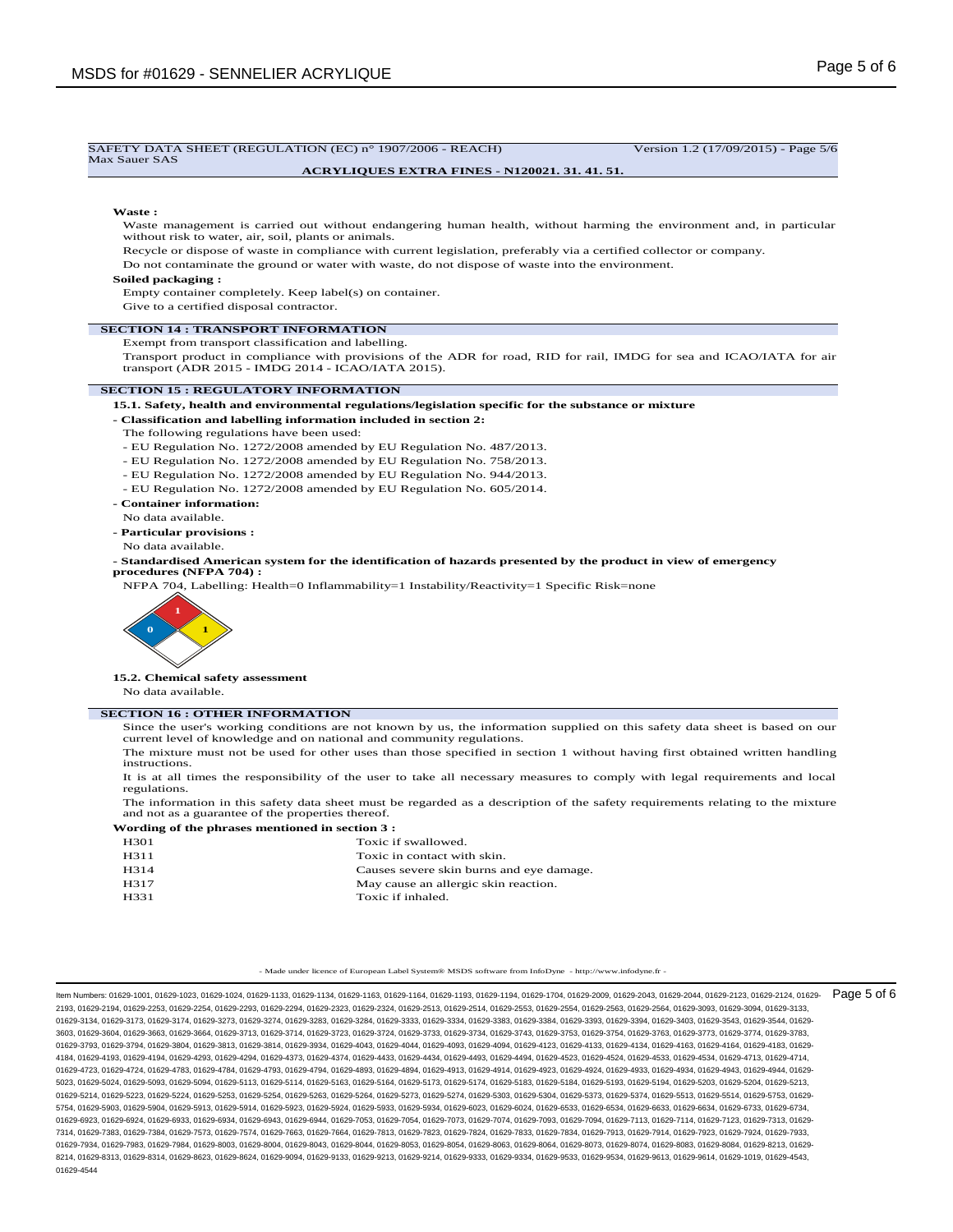| SAFETY DATA SHEET (REGULATION (EC) n° 1907/2006 - REACH)<br>Max Sauer SAS                                                                                                           | Version 1.2 (17/09/2015) - Page 5/6 |
|-------------------------------------------------------------------------------------------------------------------------------------------------------------------------------------|-------------------------------------|
| <b>ACRYLIQUES EXTRA FINES - N120021. 31. 41. 51.</b>                                                                                                                                |                                     |
|                                                                                                                                                                                     |                                     |
| Waste:                                                                                                                                                                              |                                     |
| Waste management is carried out without endangering human health, without harming the environment and, in particular<br>without risk to water, air, soil, plants or animals.        |                                     |
| Recycle or dispose of waste in compliance with current legislation, preferably via a certified collector or company.                                                                |                                     |
| Do not contaminate the ground or water with waste, do not dispose of waste into the environment.                                                                                    |                                     |
| Soiled packaging:                                                                                                                                                                   |                                     |
| Empty container completely. Keep label(s) on container.                                                                                                                             |                                     |
| Give to a certified disposal contractor.                                                                                                                                            |                                     |
| <b>SECTION 14 : TRANSPORT INFORMATION</b>                                                                                                                                           |                                     |
| Exempt from transport classification and labelling.                                                                                                                                 |                                     |
| Transport product in compliance with provisions of the ADR for road, RID for rail, IMDG for sea and ICAO/IATA for air<br>transport (ADR 2015 - IMDG 2014 - ICAO/IATA 2015).         |                                     |
| <b>SECTION 15: REGULATORY INFORMATION</b>                                                                                                                                           |                                     |
| 15.1. Safety, health and environmental regulations/legislation specific for the substance or mixture                                                                                |                                     |
| - Classification and labelling information included in section 2:                                                                                                                   |                                     |
| The following regulations have been used:                                                                                                                                           |                                     |
| - EU Regulation No. 1272/2008 amended by EU Regulation No. 487/2013.                                                                                                                |                                     |
| - EU Regulation No. 1272/2008 amended by EU Regulation No. 758/2013.                                                                                                                |                                     |
| - EU Regulation No. 1272/2008 amended by EU Regulation No. 944/2013.                                                                                                                |                                     |
| - EU Regulation No. 1272/2008 amended by EU Regulation No. 605/2014.                                                                                                                |                                     |
| - Container information:                                                                                                                                                            |                                     |
| No data available.                                                                                                                                                                  |                                     |
| - Particular provisions :                                                                                                                                                           |                                     |
| No data available.                                                                                                                                                                  |                                     |
| - Standardised American system for the identification of hazards presented by the product in view of emergency<br>procedures (NFPA 704):                                            |                                     |
| NFPA 704, Labelling: Health=0 Inflammability=1 Instability/Reactivity=1 Specific Risk=none                                                                                          |                                     |
|                                                                                                                                                                                     |                                     |
|                                                                                                                                                                                     |                                     |
|                                                                                                                                                                                     |                                     |
|                                                                                                                                                                                     |                                     |
|                                                                                                                                                                                     |                                     |
| 15.2. Chemical safety assessment                                                                                                                                                    |                                     |
| No data available.                                                                                                                                                                  |                                     |
| <b>SECTION 16 : OTHER INFORMATION</b>                                                                                                                                               |                                     |
| Since the user's working conditions are not known by us, the information supplied on this safety data sheet is based on our                                                         |                                     |
| current level of knowledge and on national and community regulations.                                                                                                               |                                     |
| The mixture must not be used for other uses than those specified in section 1 without having first obtained written handling<br>instructions.                                       |                                     |
| It is at all times the responsibility of the user to take all necessary measures to comply with legal requirements and local<br>regulations.                                        |                                     |
| The information in this safety data sheet must be regarded as a description of the safety requirements relating to the mixture<br>and not as a guarantee of the properties thereof. |                                     |
| Wording of the phrases mentioned in section 3 :                                                                                                                                     |                                     |

|      | ", or ding or the pairwoo memoried in because $\epsilon$ |
|------|----------------------------------------------------------|
| H301 | Toxic if swallowed.                                      |

| H311 | Toxic in contact with skin.              |
|------|------------------------------------------|
| H314 | Causes severe skin burns and eye damage. |
| H317 | May cause an allergic skin reaction.     |
| H331 | Toxic if inhaled.                        |

- Made under licence of European Label System® MSDS software from InfoDyne - http://www.infodyne.fr -

ltem Numbers: 01629-1001, 01629-1023, 01629-1024, 01629-1133, 01629-1134, 01629-1163, 01629-1163, 01629-1193, 01629-1194, 01629-2040, 01629-2009, 01629-2043, 01629-2044, 01629-2123, 01629-2124, 01629-2124, 01629-2124, 0162 2193, 01629-2194, 01629-2253, 01629-2254, 01629-2293, 01629-2294, 01629-2323, 01629-2324, 01629-2513, 01629-2514, 01629-2553, 01629-2554, 01629-2563, 01629-2564, 01629-3093, 01629-3094, 01629-3133, 01629-3134, 01629-3173, 01629-3174, 01629-3273, 01629-3274, 01629-3283, 01629-3284, 01629-3333, 01629-3334, 01629-3383, 01629-3384, 01629-3393, 01629-3394, 01629-3403, 01629-3543, 01629-3544, 01629- 3603, 01629-3604, 01629-3663, 01629-3664, 01629-3713, 01629-3714, 01629-3723, 01629-3724, 01629-3733, 01629-3734, 01629-3743, 01629-3753, 01629-3754, 01629-3763, 01629-3773, 01629-3774, 01629-3783, 01629-3793, 01629-3794, 01629-3804, 01629-3813, 01629-3814, 01629-3934, 01629-4043, 01629-4044, 01629-4093, 01629-4094, 01629-4123, 01629-4133, 01629-4134, 01629-4163, 01629-4164, 01629-4183, 01629- 4184, 01629-4193, 01629-4194, 01629-4293, 01629-4294, 01629-4373, 01629-4374, 01629-4433, 01629-4434, 01629-4493, 01629-4494, 01629-4523, 01629-4524, 01629-4533, 01629-4534, 01629-4713, 01629-4714, 01629-4723, 01629-4724, 01629-4783, 01629-4784, 01629-4793, 01629-4794, 01629-4893, 01629-4894, 01629-4913, 01629-4914, 01629-4923, 01629-4924, 01629-4933, 01629-4933, 01629-4933, 01629-4933, 01629-4933, 01629-4933, 01629-4 5023, 01629-5024, 01629-5093, 01629-5094, 01629-5113, 01629-5114, 01629-5163, 01629-5164, 01629-5173, 01629-5174, 01629-5183, 01629-5184, 01629-5193, 01629-5194, 01629-5203, 01629-5204, 01629-5213, 01629-5214, 01629-5223, 01629-5224, 01629-5253, 01629-5254, 01629-5263, 01629-5264, 01629-5273, 01629-5274, 01629-5303, 01629-5304, 01629-5373, 01629-5374, 01629-5513, 01629-5514, 01629-5753, 01629- 5754, 01629-5903, 01629-5904, 01629-5913, 01629-5914, 01629-5923, 01629-5924, 01629-5933, 01629-5934, 01629-6023, 01629-6024, 01629-6533, 01629-6534, 01629-6633, 01629-6634, 01629-6733, 01629-6734, 01629-6923, 01629-6924, 01629-6933, 01629-6934, 01629-6943, 01629-6944, 01629-7053, 01629-7054, 01629-7073, 01629-7074, 01629-7093, 01629-7094, 01629-7113, 01629-7114, 01629-7123, 01629-7313, 01629- 7314, 01629-7383, 01629-7384, 01629-7573, 01629-7574, 01629-7663, 01629-7664, 01629-7813, 01629-7823, 01629-7824, 01629-7833, 01629-7834, 01629-7913, 01629-7914, 01629-7923, 01629-7924, 01629-7933, 01629-7934, 01629-7983, 01629-7984, 01629-8003, 01629-8004, 01629-8044, 01629-8053, 01629-8064, 01629-8063, 01629-8063, 01629-8063, 01629-8074, 01629-8074, 01629-8083, 01629-8084, 01629-8074, 01629-8074, 01629-8083, 01629-8 8214, 01629-8313, 01629-8314, 01629-8623, 01629-8624, 01629-9094, 01629-9133, 01629-9213, 01629-9214, 01629-9333, 01629-9334, 01629-9533, 01629-9534, 01629-9613, 01629-9614, 01629-1019, 01629-4543, 01629-4544